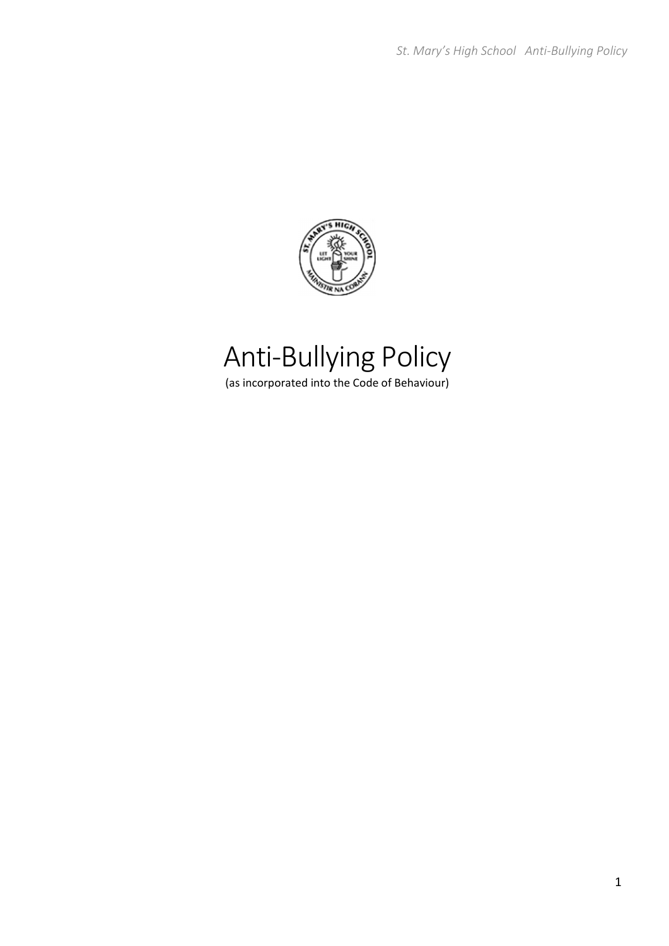

# Anti‐Bullying Policy

(as incorporated into the Code of Behaviour)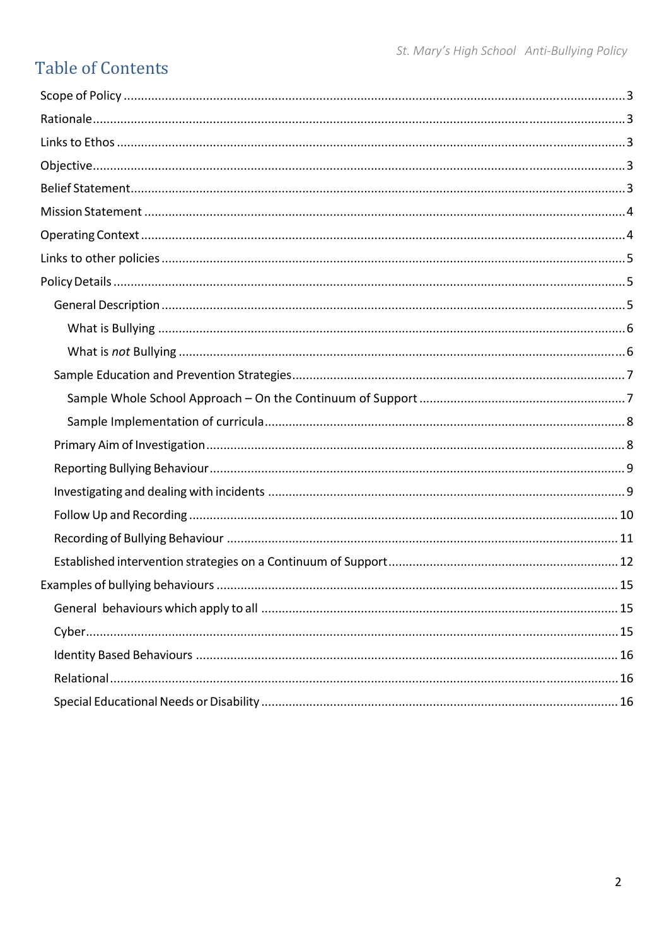### **Table of Contents**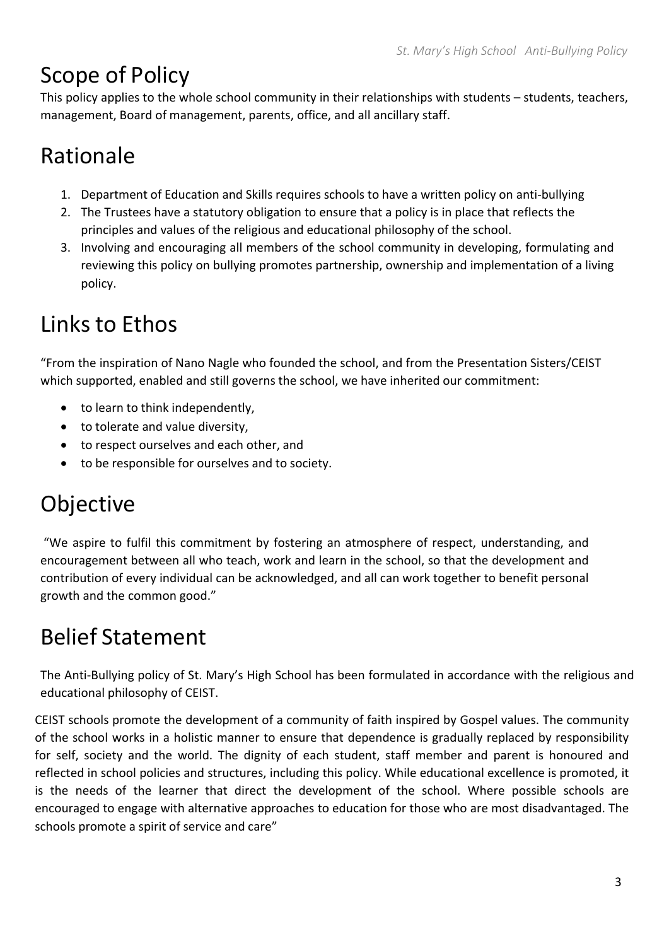## Scope of Policy

This policy applies to the whole school community in their relationships with students – students, teachers, management, Board of management, parents, office, and all ancillary staff.

## Rationale

- 1. Department of Education and Skills requires schools to have a written policy on anti‐bullying
- 2. The Trustees have a statutory obligation to ensure that a policy is in place that reflects the principles and values of the religious and educational philosophy of the school.
- 3. Involving and encouraging all members of the school community in developing, formulating and reviewing this policy on bullying promotes partnership, ownership and implementation of a living policy.

## Links to Ethos

"From the inspiration of Nano Nagle who founded the school, and from the Presentation Sisters/CEIST which supported, enabled and still governs the school, we have inherited our commitment:

- to learn to think independently,
- to tolerate and value diversity,
- to respect ourselves and each other, and
- to be responsible for ourselves and to society.

## Objective

"We aspire to fulfil this commitment by fostering an atmosphere of respect, understanding, and encouragement between all who teach, work and learn in the school, so that the development and contribution of every individual can be acknowledged, and all can work together to benefit personal growth and the common good."

## Belief Statement

The Anti-Bullying policy of St. Mary's High School has been formulated in accordance with the religious and educational philosophy of CEIST.

CEIST schools promote the development of a community of faith inspired by Gospel values. The community of the school works in a holistic manner to ensure that dependence is gradually replaced by responsibility for self, society and the world. The dignity of each student, staff member and parent is honoured and reflected in school policies and structures, including this policy. While educational excellence is promoted, it is the needs of the learner that direct the development of the school. Where possible schools are encouraged to engage with alternative approaches to education for those who are most disadvantaged. The schools promote a spirit of service and care"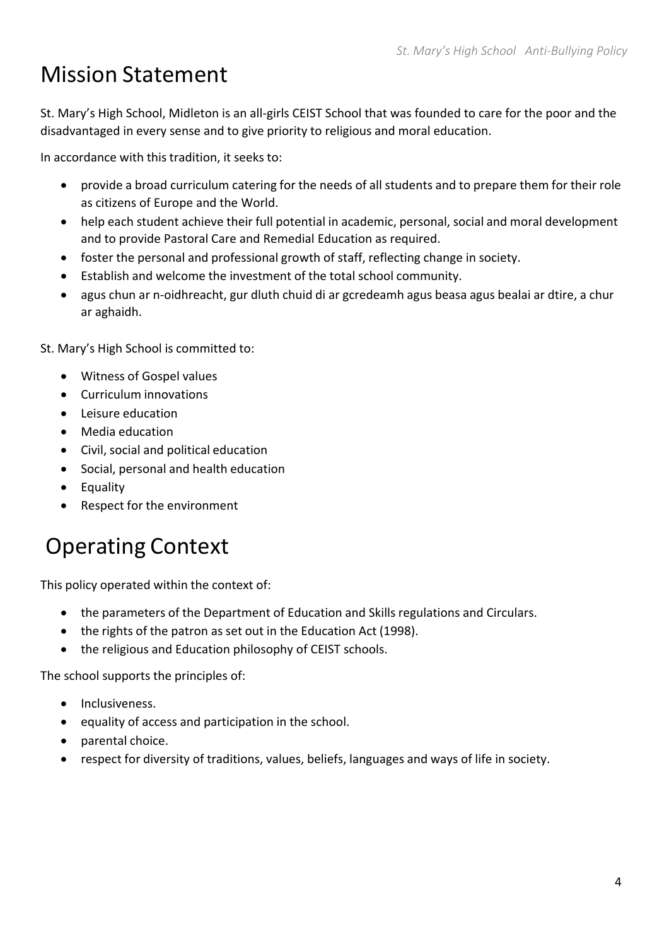## Mission Statement

St. Mary's High School, Midleton is an all‐girls CEIST School that was founded to care for the poor and the disadvantaged in every sense and to give priority to religious and moral education.

In accordance with this tradition, it seeks to:

- provide a broad curriculum catering for the needs of all students and to prepare them for their role as citizens of Europe and the World.
- help each student achieve their full potential in academic, personal, social and moral development and to provide Pastoral Care and Remedial Education as required.
- foster the personal and professional growth of staff, reflecting change in society.
- Establish and welcome the investment of the total school community.
- agus chun ar n‐oidhreacht, gur dluth chuid di ar gcredeamh agus beasa agus bealai ar dtire, a chur ar aghaidh.

St. Mary's High School is committed to:

- Witness of Gospel values
- Curriculum innovations
- Leisure education
- Media education
- Civil, social and political education
- Social, personal and health education
- Equality
- Respect for the environment

## Operating Context

This policy operated within the context of:

- the parameters of the Department of Education and Skills regulations and Circulars.
- the rights of the patron as set out in the Education Act (1998).
- the religious and Education philosophy of CEIST schools.

The school supports the principles of:

- Inclusiveness.
- $\bullet$  equality of access and participation in the school.
- parental choice.
- respect for diversity of traditions, values, beliefs, languages and ways of life in society.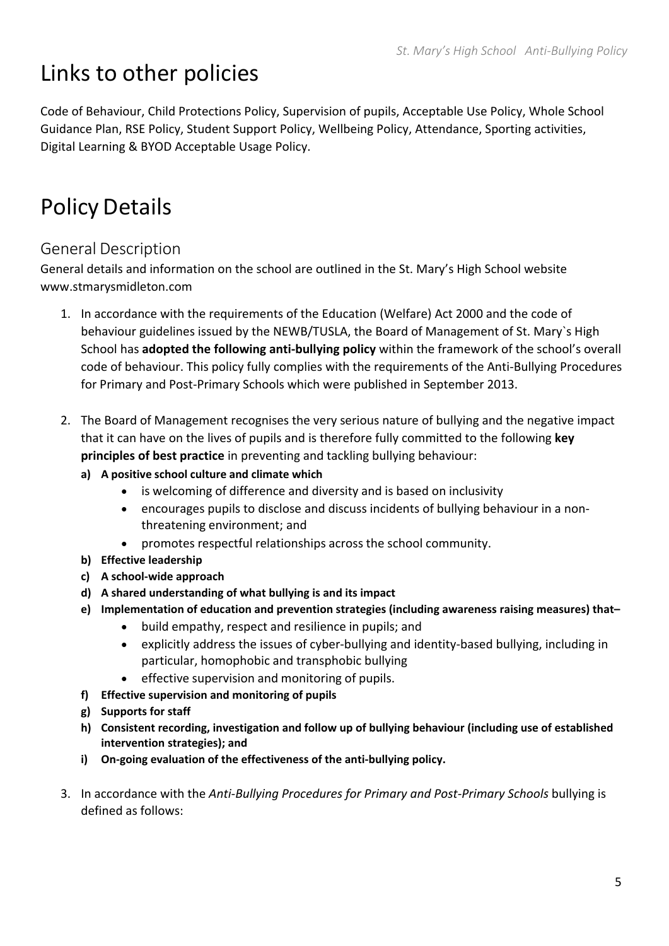## Links to other policies

Code of Behaviour, Child Protections Policy, Supervision of pupils, Acceptable Use Policy, Whole School Guidance Plan, RSE Policy, Student Support Policy, Wellbeing Policy, Attendance, Sporting activities, Digital Learning & BYOD Acceptable Usage Policy.

## Policy Details

### General Description

General details and information on the school are outlined in the St. Mary's High School website www.stmarysmidleton.com

- 1. In accordance with the requirements of the Education (Welfare) Act 2000 and the code of behaviour guidelines issued by the NEWB/TUSLA, the Board of Management of St. Mary`s High School has **adopted the following anti‐bullying policy** within the framework of the school's overall code of behaviour. This policy fully complies with the requirements of the Anti-Bullying Procedures for Primary and Post‐Primary Schools which were published in September 2013.
- 2. The Board of Management recognises the very serious nature of bullying and the negative impact that it can have on the lives of pupils and is therefore fully committed to the following **key principles of best practice** in preventing and tackling bullying behaviour:
	- **a) A positive school culture and climate which**
		- is welcoming of difference and diversity and is based on inclusivity
		- encourages pupils to disclose and discuss incidents of bullying behaviour in a nonthreatening environment; and
		- promotes respectful relationships across the school community.
	- **b) Effective leadership**
	- **c) A school‐wide approach**
	- **d) A shared understanding of what bullying is and its impact**
	- **e) Implementation of education and prevention strategies (including awareness raising measures) that–**
		- build empathy, respect and resilience in pupils; and
		- explicitly address the issues of cyber‐bullying and identity‐based bullying, including in particular, homophobic and transphobic bullying
		- effective supervision and monitoring of pupils.
	- **f) Effective supervision and monitoring of pupils**
	- **g) Supports for staff**
	- **h) Consistent recording, investigation and follow up of bullying behaviour (including use of established intervention strategies); and**
	- **i) On‐going evaluation of the effectiveness of the anti‐bullying policy.**
- 3. In accordance with the *Anti‐Bullying Procedures for Primary and Post‐Primary Schools* bullying is defined as follows: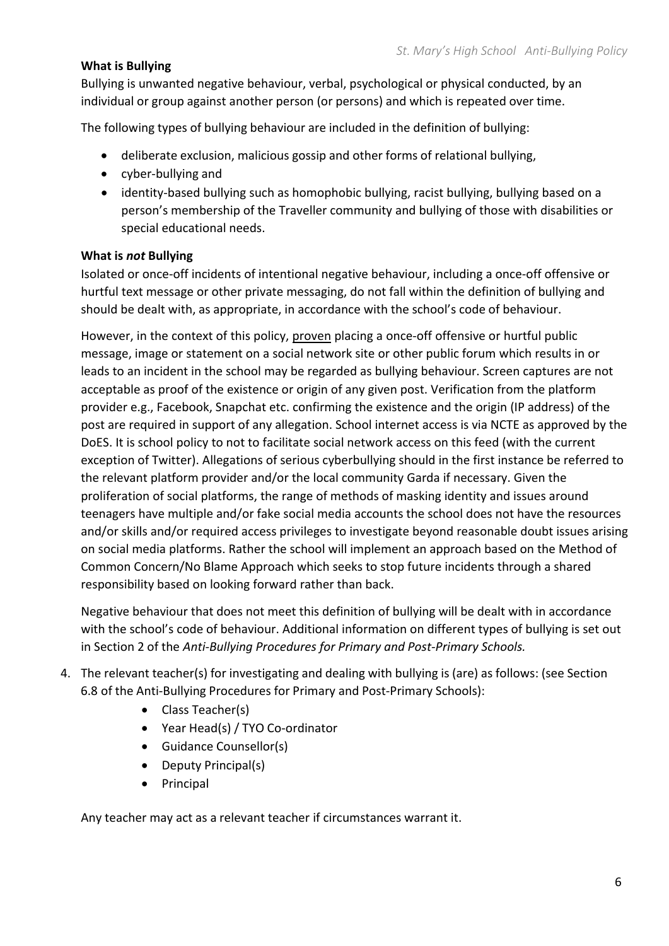#### **What is Bullying**

Bullying is unwanted negative behaviour, verbal, psychological or physical conducted, by an individual or group against another person (or persons) and which is repeated over time.

The following types of bullying behaviour are included in the definition of bullying:

- deliberate exclusion, malicious gossip and other forms of relational bullying,
- cyber-bullying and
- identity‐based bullying such as homophobic bullying, racist bullying, bullying based on a person's membership of the Traveller community and bullying of those with disabilities or special educational needs.

#### **What is** *not* **Bullying**

Isolated or once‐off incidents of intentional negative behaviour, including a once‐off offensive or hurtful text message or other private messaging, do not fall within the definition of bullying and should be dealt with, as appropriate, in accordance with the school's code of behaviour.

However, in the context of this policy, proven placing a once‐off offensive or hurtful public message, image or statement on a social network site or other public forum which results in or leads to an incident in the school may be regarded as bullying behaviour. Screen captures are not acceptable as proof of the existence or origin of any given post. Verification from the platform provider e.g., Facebook, Snapchat etc. confirming the existence and the origin (IP address) of the post are required in support of any allegation. School internet access is via NCTE as approved by the DoES. It is school policy to not to facilitate social network access on this feed (with the current exception of Twitter). Allegations of serious cyberbullying should in the first instance be referred to the relevant platform provider and/or the local community Garda if necessary. Given the proliferation of social platforms, the range of methods of masking identity and issues around teenagers have multiple and/or fake social media accounts the school does not have the resources and/or skills and/or required access privileges to investigate beyond reasonable doubt issues arising on social media platforms. Rather the school will implement an approach based on the Method of Common Concern/No Blame Approach which seeks to stop future incidents through a shared responsibility based on looking forward rather than back.

Negative behaviour that does not meet this definition of bullying will be dealt with in accordance with the school's code of behaviour. Additional information on different types of bullying is set out in Section 2 of the *Anti‐Bullying Procedures for Primary and Post‐Primary Schools.*

- 4. The relevant teacher(s) for investigating and dealing with bullying is (are) as follows: (see Section 6.8 of the Anti‐Bullying Procedures for Primary and Post‐Primary Schools):
	- Class Teacher(s)
	- Year Head(s) / TYO Co-ordinator
	- Guidance Counsellor(s)
	- Deputy Principal(s)
	- Principal

Any teacher may act as a relevant teacher if circumstances warrant it.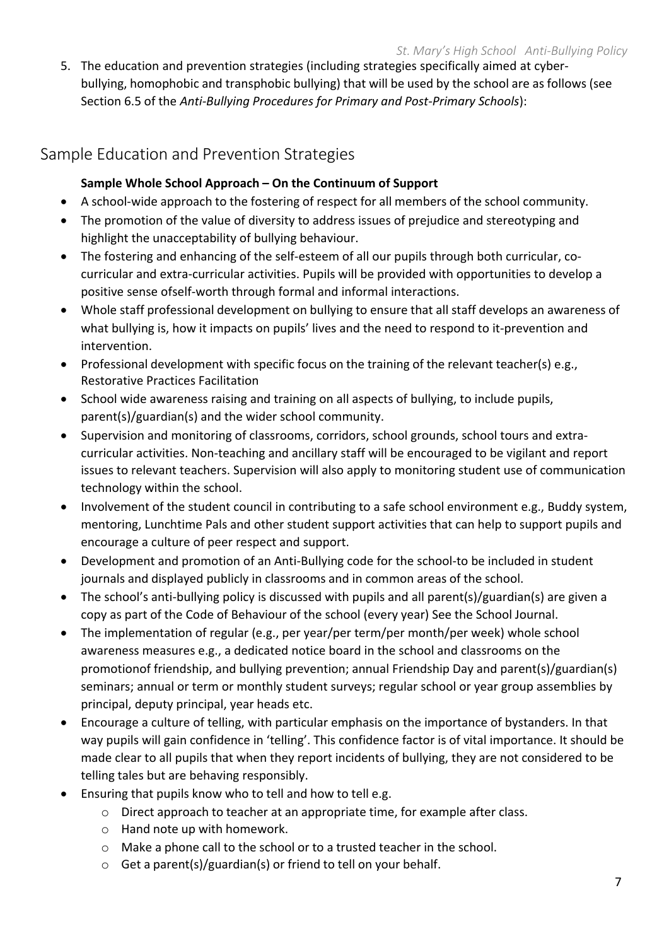5. The education and prevention strategies (including strategies specifically aimed at cyberbullying, homophobic and transphobic bullying) that will be used by the school are as follows (see Section 6.5 of the *Anti‐Bullying Procedures for Primary and Post‐Primary Schools*):

#### Sample Education and Prevention Strategies

#### **Sample Whole School Approach – On the Continuum of Support**

- A school-wide approach to the fostering of respect for all members of the school community.
- The promotion of the value of diversity to address issues of prejudice and stereotyping and highlight the unacceptability of bullying behaviour.
- The fostering and enhancing of the self-esteem of all our pupils through both curricular, cocurricular and extra‐curricular activities. Pupils will be provided with opportunities to develop a positive sense ofself‐worth through formal and informal interactions.
- Whole staff professional development on bullying to ensure that all staff develops an awareness of what bullying is, how it impacts on pupils' lives and the need to respond to it-prevention and intervention.
- Professional development with specific focus on the training of the relevant teacher(s) e.g., Restorative Practices Facilitation
- School wide awareness raising and training on all aspects of bullying, to include pupils, parent(s)/guardian(s) and the wider school community.
- Supervision and monitoring of classrooms, corridors, school grounds, school tours and extracurricular activities. Non-teaching and ancillary staff will be encouraged to be vigilant and report issues to relevant teachers. Supervision will also apply to monitoring student use of communication technology within the school.
- Involvement of the student council in contributing to a safe school environment e.g., Buddy system, mentoring, Lunchtime Pals and other student support activities that can help to support pupils and encourage a culture of peer respect and support.
- Development and promotion of an Anti-Bullying code for the school-to be included in student journals and displayed publicly in classrooms and in common areas of the school.
- The school's anti‐bullying policy is discussed with pupils and all parent(s)/guardian(s) are given a copy as part of the Code of Behaviour of the school (every year) See the School Journal.
- The implementation of regular (e.g., per year/per term/per month/per week) whole school awareness measures e.g., a dedicated notice board in the school and classrooms on the promotionof friendship, and bullying prevention; annual Friendship Day and parent(s)/guardian(s) seminars; annual or term or monthly student surveys; regular school or year group assemblies by principal, deputy principal, year heads etc.
- Encourage a culture of telling, with particular emphasis on the importance of bystanders. In that way pupils will gain confidence in 'telling'. This confidence factor is of vital importance. It should be made clear to all pupils that when they report incidents of bullying, they are not considered to be telling tales but are behaving responsibly.
- Ensuring that pupils know who to tell and how to tell e.g.
	- o Direct approach to teacher at an appropriate time, for example after class.
	- o Hand note up with homework.
	- $\circ$  Make a phone call to the school or to a trusted teacher in the school.
	- o Get a parent(s)/guardian(s) or friend to tell on your behalf.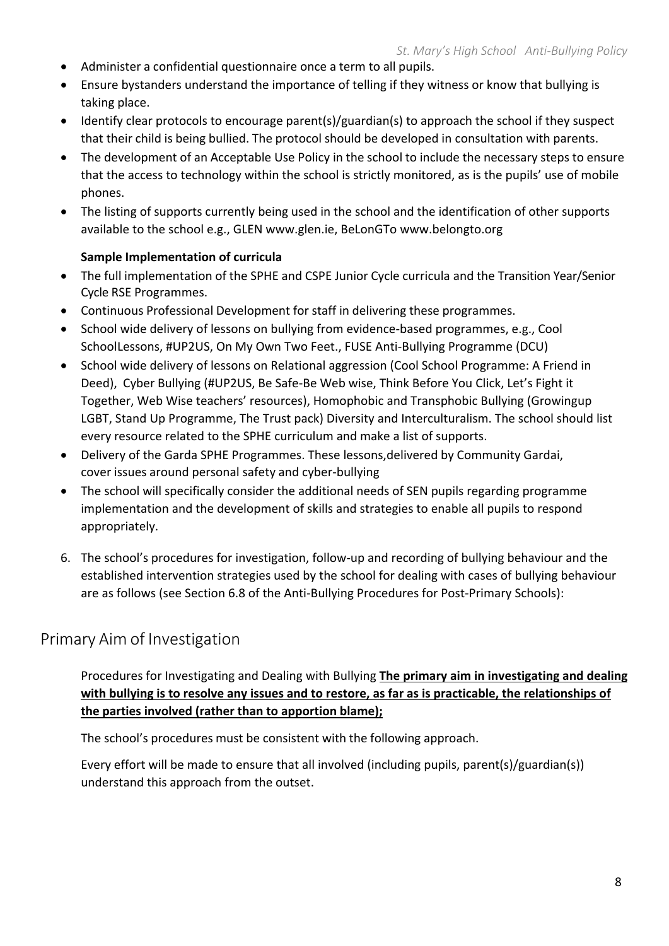- Administer a confidential questionnaire once a term to all pupils.
- Ensure bystanders understand the importance of telling if they witness or know that bullying is taking place.
- Identify clear protocols to encourage parent(s)/guardian(s) to approach the school if they suspect that their child is being bullied. The protocol should be developed in consultation with parents.
- The development of an Acceptable Use Policy in the school to include the necessary steps to ensure that the access to technology within the school is strictly monitored, as is the pupils' use of mobile phones.
- The listing of supports currently being used in the school and the identification of other supports available to the school e.g., GLEN www.glen.ie, BeLonGTo www.belongto.org

#### **Sample Implementation of curricula**

- The full implementation of the SPHE and CSPE Junior Cycle curricula and the Transition Year/Senior Cycle RSE Programmes.
- Continuous Professional Development for staff in delivering these programmes.
- School wide delivery of lessons on bullying from evidence-based programmes, e.g., Cool SchoolLessons, #UP2US, On My Own Two Feet., FUSE Anti‐Bullying Programme (DCU)
- School wide delivery of lessons on Relational aggression (Cool School Programme: A Friend in Deed), Cyber Bullying (#UP2US, Be Safe-Be Web wise, Think Before You Click, Let's Fight it Together, Web Wise teachers' resources), Homophobic and Transphobic Bullying (Growingup LGBT, Stand Up Programme, The Trust pack) Diversity and Interculturalism. The school should list every resource related to the SPHE curriculum and make a list of supports.
- Delivery of the Garda SPHE Programmes. These lessons,delivered by Community Gardai, cover issues around personal safety and cyber‐bullying
- The school will specifically consider the additional needs of SEN pupils regarding programme implementation and the development of skills and strategies to enable all pupils to respond appropriately.
- 6. The school's procedures for investigation, follow‐up and recording of bullying behaviour and the established intervention strategies used by the school for dealing with cases of bullying behaviour are as follows (see Section 6.8 of the Anti‐Bullying Procedures for Post‐Primary Schools):

#### Primary Aim of Investigation

Procedures for Investigating and Dealing with Bullying **The primary aim in investigating and dealing** with bullying is to resolve any issues and to restore, as far as is practicable, the relationships of **the parties involved (rather than to apportion blame);**

The school's procedures must be consistent with the following approach.

Every effort will be made to ensure that all involved (including pupils, parent(s)/guardian(s)) understand this approach from the outset.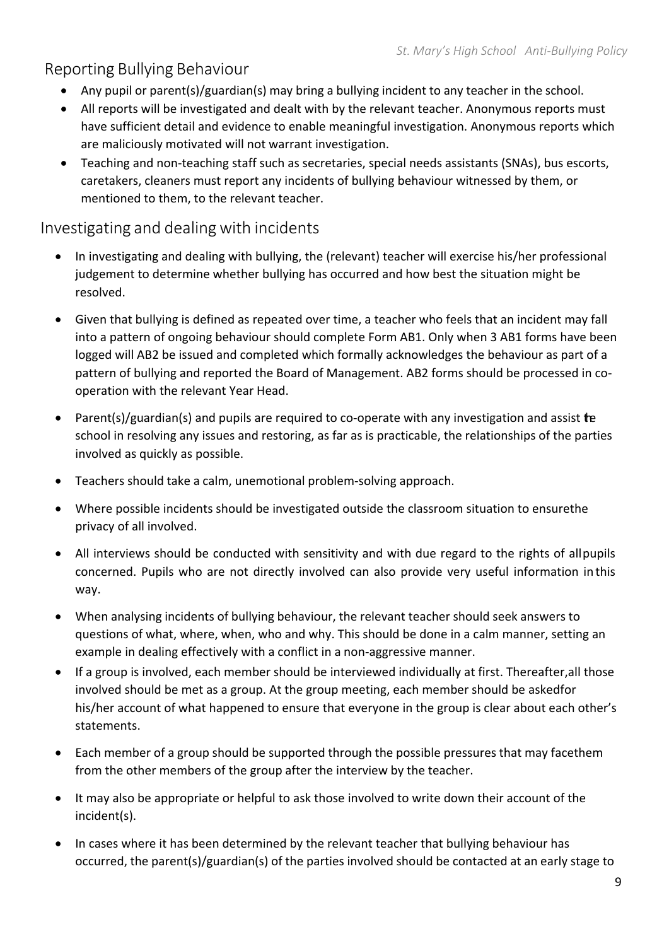### Reporting Bullying Behaviour

- Any pupil or parent(s)/guardian(s) may bring a bullying incident to any teacher in the school.
- All reports will be investigated and dealt with by the relevant teacher. Anonymous reports must have sufficient detail and evidence to enable meaningful investigation. Anonymous reports which are maliciously motivated will not warrant investigation.
- Teaching and non‐teaching staff such as secretaries, special needs assistants (SNAs), bus escorts, caretakers, cleaners must report any incidents of bullying behaviour witnessed by them, or mentioned to them, to the relevant teacher.

#### Investigating and dealing with incidents

- In investigating and dealing with bullying, the (relevant) teacher will exercise his/her professional judgement to determine whether bullying has occurred and how best the situation might be resolved.
- Given that bullying is defined as repeated over time, a teacher who feels that an incident may fall into a pattern of ongoing behaviour should complete Form AB1. Only when 3 AB1 forms have been logged will AB2 be issued and completed which formally acknowledges the behaviour as part of a pattern of bullying and reported the Board of Management. AB2 forms should be processed in co‐ operation with the relevant Year Head.
- Parent(s)/guardian(s) and pupils are required to co-operate with any investigation and assist the school in resolving any issues and restoring, as far as is practicable, the relationships of the parties involved as quickly as possible.
- Teachers should take a calm, unemotional problem‐solving approach.
- Where possible incidents should be investigated outside the classroom situation to ensurethe privacy of all involved.
- All interviews should be conducted with sensitivity and with due regard to the rights of allpupils concerned. Pupils who are not directly involved can also provide very useful information inthis way.
- When analysing incidents of bullying behaviour, the relevant teacher should seek answers to questions of what, where, when, who and why. This should be done in a calm manner, setting an example in dealing effectively with a conflict in a non‐aggressive manner.
- If a group is involved, each member should be interviewed individually at first. Thereafter,all those involved should be met as a group. At the group meeting, each member should be askedfor his/her account of what happened to ensure that everyone in the group is clear about each other's statements.
- Each member of a group should be supported through the possible pressures that may facethem from the other members of the group after the interview by the teacher.
- It may also be appropriate or helpful to ask those involved to write down their account of the incident(s).
- In cases where it has been determined by the relevant teacher that bullying behaviour has occurred, the parent(s)/guardian(s) of the parties involved should be contacted at an early stage to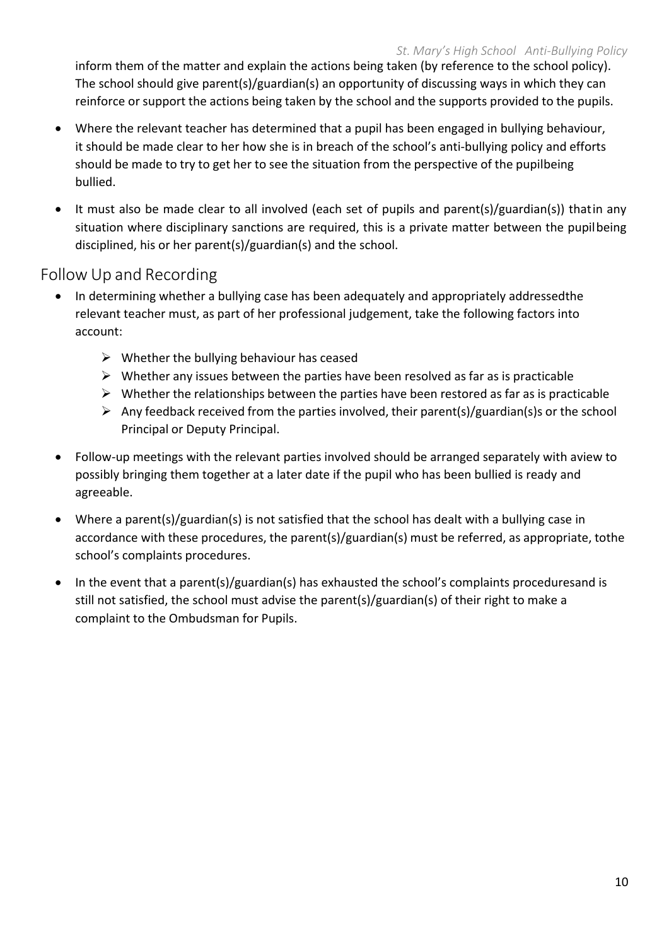inform them of the matter and explain the actions being taken (by reference to the school policy). The school should give parent(s)/guardian(s) an opportunity of discussing ways in which they can reinforce or support the actions being taken by the school and the supports provided to the pupils.

- Where the relevant teacher has determined that a pupil has been engaged in bullying behaviour, it should be made clear to her how she is in breach of the school's anti-bullying policy and efforts should be made to try to get her to see the situation from the perspective of the pupilbeing bullied.
- It must also be made clear to all involved (each set of pupils and parent(s)/guardian(s)) thatin any situation where disciplinary sanctions are required, this is a private matter between the pupilbeing disciplined, his or her parent(s)/guardian(s) and the school.

#### Follow Up and Recording

- In determining whether a bullying case has been adequately and appropriately addressedthe relevant teacher must, as part of her professional judgement, take the following factors into account:
	- $\triangleright$  Whether the bullying behaviour has ceased
	- $\triangleright$  Whether any issues between the parties have been resolved as far as is practicable
	- $\triangleright$  Whether the relationships between the parties have been restored as far as is practicable
	- $\triangleright$  Any feedback received from the parties involved, their parent(s)/guardian(s)s or the school Principal or Deputy Principal.
- Follow‐up meetings with the relevant parties involved should be arranged separately with aview to possibly bringing them together at a later date if the pupil who has been bullied is ready and agreeable.
- Where a parent(s)/guardian(s) is not satisfied that the school has dealt with a bullying case in accordance with these procedures, the parent(s)/guardian(s) must be referred, as appropriate, tothe school's complaints procedures.
- In the event that a parent(s)/guardian(s) has exhausted the school's complaints proceduresand is still not satisfied, the school must advise the parent(s)/guardian(s) of their right to make a complaint to the Ombudsman for Pupils.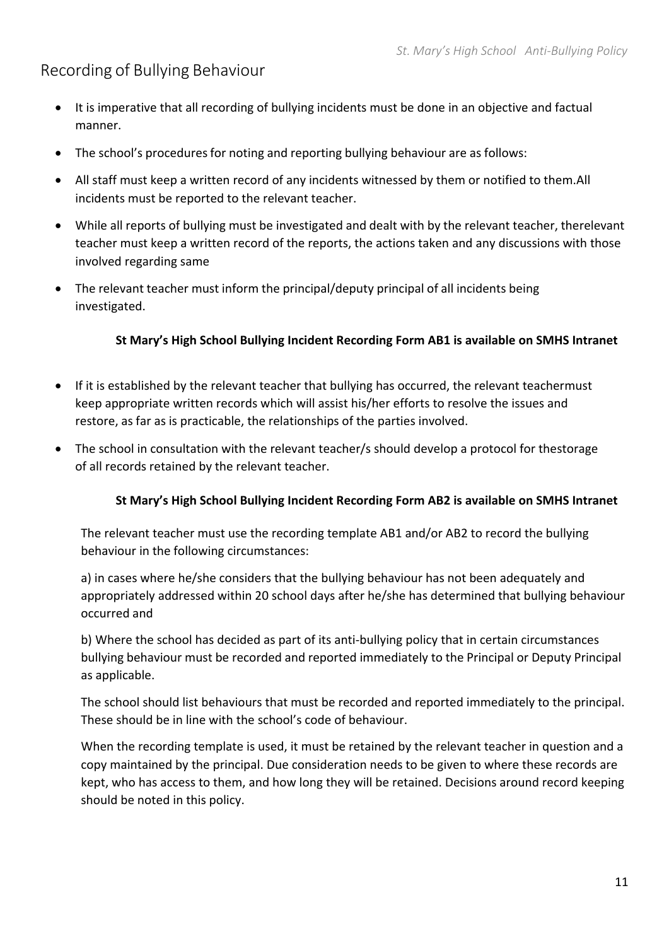### Recording of Bullying Behaviour

- It is imperative that all recording of bullying incidents must be done in an objective and factual manner.
- The school's procedures for noting and reporting bullying behaviour are as follows:
- All staff must keep a written record of any incidents witnessed by them or notified to them.All incidents must be reported to the relevant teacher.
- While all reports of bullying must be investigated and dealt with by the relevant teacher, therelevant teacher must keep a written record of the reports, the actions taken and any discussions with those involved regarding same
- The relevant teacher must inform the principal/deputy principal of all incidents being investigated.

#### **St Mary's High School Bullying Incident Recording Form AB1 is available on SMHS Intranet**

- If it is established by the relevant teacher that bullying has occurred, the relevant teachermust keep appropriate written records which will assist his/her efforts to resolve the issues and restore, as far as is practicable, the relationships of the parties involved.
- The school in consultation with the relevant teacher/s should develop a protocol for thestorage of all records retained by the relevant teacher.

#### **St Mary's High School Bullying Incident Recording Form AB2 is available on SMHS Intranet**

The relevant teacher must use the recording template AB1 and/or AB2 to record the bullying behaviour in the following circumstances:

a) in cases where he/she considers that the bullying behaviour has not been adequately and appropriately addressed within 20 school days after he/she has determined that bullying behaviour occurred and

b) Where the school has decided as part of its anti-bullying policy that in certain circumstances bullying behaviour must be recorded and reported immediately to the Principal or Deputy Principal as applicable.

The school should list behaviours that must be recorded and reported immediately to the principal. These should be in line with the school's code of behaviour.

When the recording template is used, it must be retained by the relevant teacher in question and a copy maintained by the principal. Due consideration needs to be given to where these records are kept, who has access to them, and how long they will be retained. Decisions around record keeping should be noted in this policy.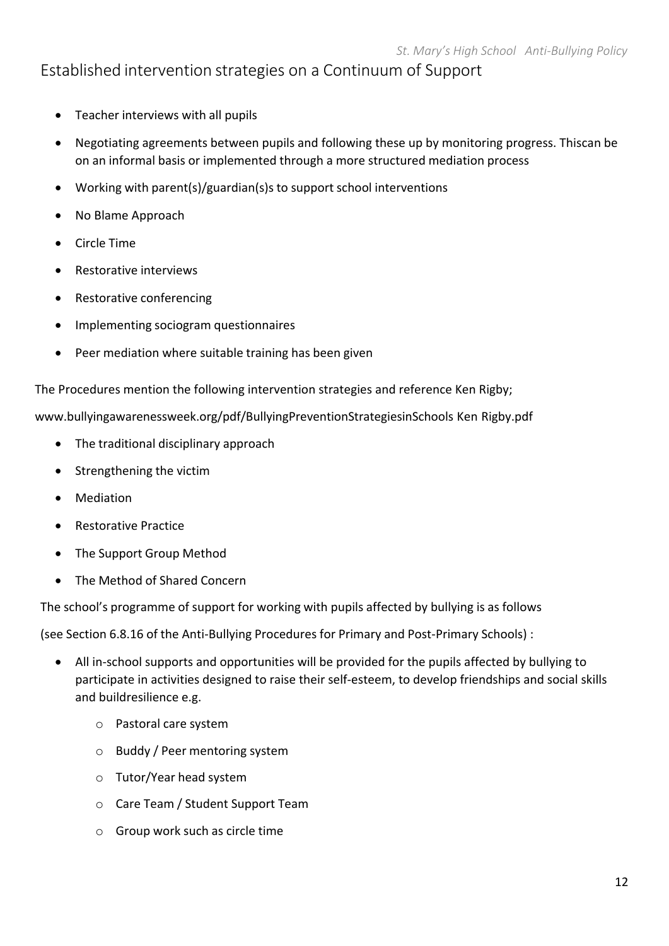#### Established intervention strategies on a Continuum of Support

- Teacher interviews with all pupils
- Negotiating agreements between pupils and following these up by monitoring progress. Thiscan be on an informal basis or implemented through a more structured mediation process
- Working with parent(s)/guardian(s)s to support school interventions
- No Blame Approach
- Circle Time
- Restorative interviews
- Restorative conferencing
- Implementing sociogram questionnaires
- Peer mediation where suitable training has been given

The Procedures mention the following intervention strategies and reference Ken Rigby;

www.bullyingawarenessweek.org/pdf/BullyingPreventionStrategiesinSchools Ken Rigby.pdf

- The traditional disciplinary approach
- Strengthening the victim
- Mediation
- Restorative Practice
- The Support Group Method
- The Method of Shared Concern

The school's programme of support for working with pupils affected by bullying is as follows

(see Section 6.8.16 of the Anti‐Bullying Procedures for Primary and Post‐Primary Schools) :

- All in-school supports and opportunities will be provided for the pupils affected by bullying to participate in activities designed to raise their self‐esteem, to develop friendships and social skills and buildresilience e.g.
	- o Pastoral care system
	- o Buddy / Peer mentoring system
	- o Tutor/Year head system
	- o Care Team / Student Support Team
	- o Group work such as circle time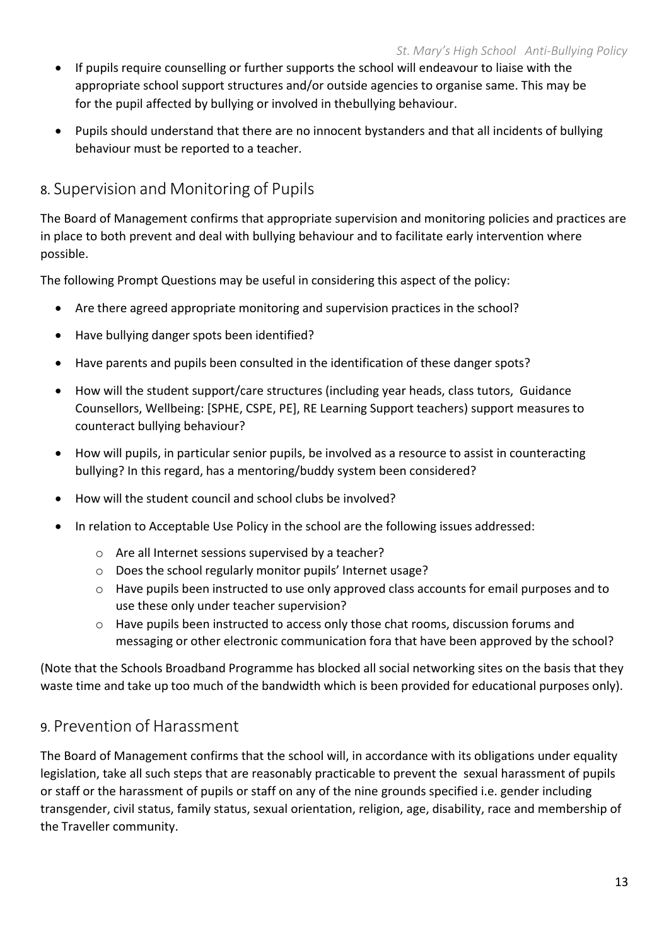- If pupils require counselling or further supports the school will endeavour to liaise with the appropriate school support structures and/or outside agencies to organise same. This may be for the pupil affected by bullying or involved in thebullying behaviour.
- Pupils should understand that there are no innocent bystanders and that all incidents of bullying behaviour must be reported to a teacher.

### 8. Supervision and Monitoring of Pupils

The Board of Management confirms that appropriate supervision and monitoring policies and practices are in place to both prevent and deal with bullying behaviour and to facilitate early intervention where possible.

The following Prompt Questions may be useful in considering this aspect of the policy:

- Are there agreed appropriate monitoring and supervision practices in the school?
- Have bullying danger spots been identified?
- Have parents and pupils been consulted in the identification of these danger spots?
- How will the student support/care structures (including year heads, class tutors, Guidance Counsellors, Wellbeing: [SPHE, CSPE, PE], RE Learning Support teachers) support measures to counteract bullying behaviour?
- How will pupils, in particular senior pupils, be involved as a resource to assist in counteracting bullying? In this regard, has a mentoring/buddy system been considered?
- How will the student council and school clubs be involved?
- In relation to Acceptable Use Policy in the school are the following issues addressed:
	- o Are all Internet sessions supervised by a teacher?
	- o Does the school regularly monitor pupils' Internet usage?
	- o Have pupils been instructed to use only approved class accounts for email purposes and to use these only under teacher supervision?
	- o Have pupils been instructed to access only those chat rooms, discussion forums and messaging or other electronic communication fora that have been approved by the school?

(Note that the Schools Broadband Programme has blocked all social networking sites on the basis that they waste time and take up too much of the bandwidth which is been provided for educational purposes only).

#### 9. Prevention of Harassment

The Board of Management confirms that the school will, in accordance with its obligations under equality legislation, take all such steps that are reasonably practicable to prevent the sexual harassment of pupils or staff or the harassment of pupils or staff on any of the nine grounds specified i.e. gender including transgender, civil status, family status, sexual orientation, religion, age, disability, race and membership of the Traveller community.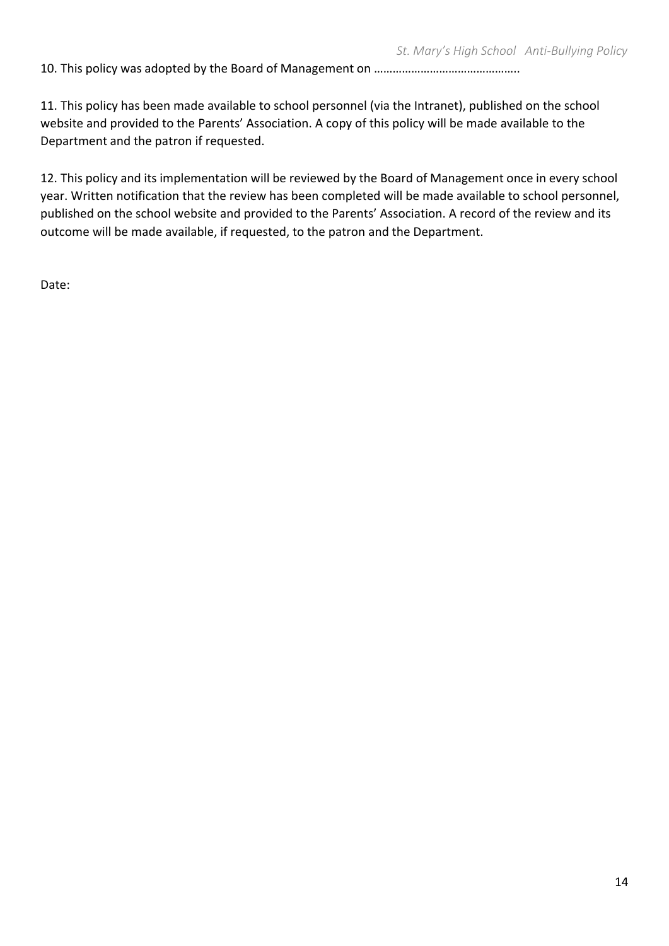10. This policy was adopted by the Board of Management on ………………………………………..

11. This policy has been made available to school personnel (via the Intranet), published on the school website and provided to the Parents' Association. A copy of this policy will be made available to the Department and the patron if requested.

12. This policy and its implementation will be reviewed by the Board of Management once in every school year. Written notification that the review has been completed will be made available to school personnel, published on the school website and provided to the Parents' Association. A record of the review and its outcome will be made available, if requested, to the patron and the Department.

Date: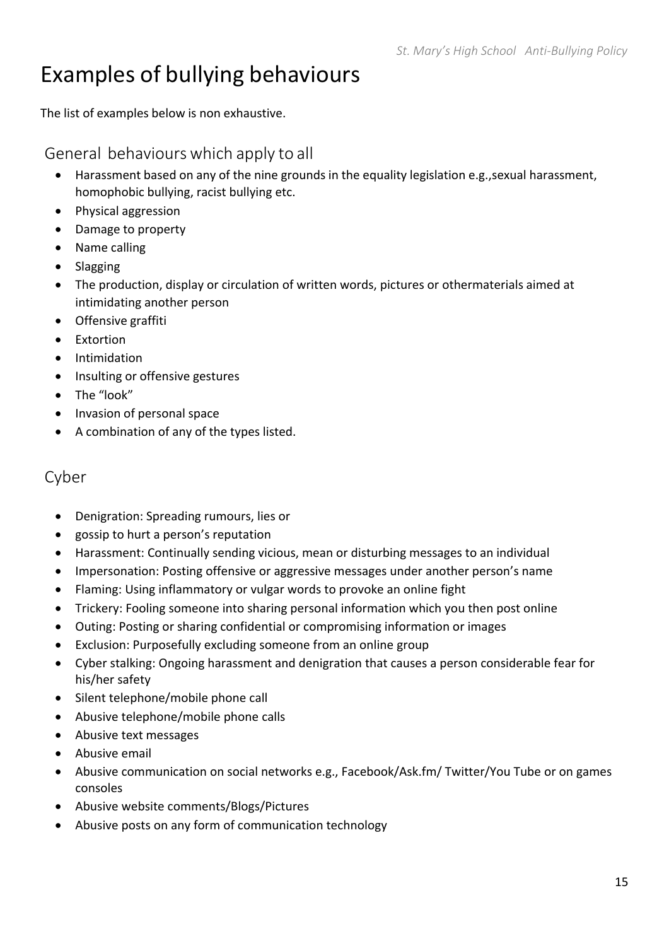## Examples of bullying behaviours

The list of examples below is non exhaustive.

#### General behaviours which apply to all

- Harassment based on any of the nine grounds in the equality legislation e.g.,sexual harassment, homophobic bullying, racist bullying etc.
- Physical aggression
- Damage to property
- Name calling
- Slagging
- The production, display or circulation of written words, pictures or othermaterials aimed at intimidating another person
- Offensive graffiti
- Extortion
- **•** Intimidation
- Insulting or offensive gestures
- The "look"
- Invasion of personal space
- A combination of any of the types listed.

#### Cyber

- Denigration: Spreading rumours, lies or
- gossip to hurt a person's reputation
- Harassment: Continually sending vicious, mean or disturbing messages to an individual
- Impersonation: Posting offensive or aggressive messages under another person's name
- Flaming: Using inflammatory or vulgar words to provoke an online fight
- Trickery: Fooling someone into sharing personal information which you then post online
- Outing: Posting or sharing confidential or compromising information or images
- Exclusion: Purposefully excluding someone from an online group
- Cyber stalking: Ongoing harassment and denigration that causes a person considerable fear for his/her safety
- Silent telephone/mobile phone call
- Abusive telephone/mobile phone calls
- Abusive text messages
- Abusive email
- Abusive communication on social networks e.g., Facebook/Ask.fm/ Twitter/You Tube or on games consoles
- Abusive website comments/Blogs/Pictures
- Abusive posts on any form of communication technology